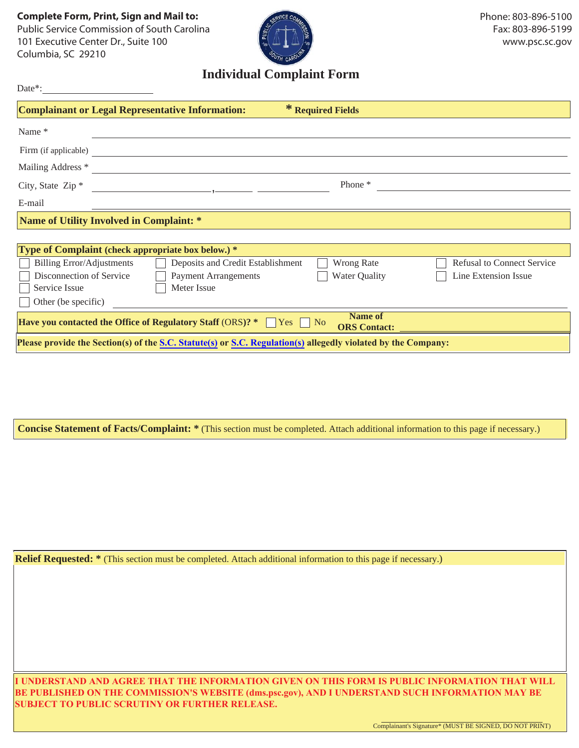**Complete Form, Print, Sign and Mail to:** Public Service Commission of South Carolina<br>101 Executive Center Dr., Suite 100 101 Executive Center Dr., Suite 100<br>Columbia SC 20210

Columbia, Sc 29210

Date\*:



## **Individual Complaint Form**

| * Required Fields<br><b>Complainant or Legal Representative Information:</b>                                               |  |  |
|----------------------------------------------------------------------------------------------------------------------------|--|--|
| Name*                                                                                                                      |  |  |
| Firm (if applicable)                                                                                                       |  |  |
| Mailing Address *                                                                                                          |  |  |
| Phone *<br>City, State Zip <sup>*</sup><br>the control of the control of the control of the control of the                 |  |  |
| E-mail                                                                                                                     |  |  |
| Name of Utility Involved in Complaint: *                                                                                   |  |  |
|                                                                                                                            |  |  |
| <b>Type of Complaint (check appropriate box below.)</b> *                                                                  |  |  |
| <b>Refusal to Connect Service</b><br>Deposits and Credit Establishment<br>Wrong Rate<br><b>Billing Error/Adjustments</b>   |  |  |
| Disconnection of Service<br><b>Payment Arrangements</b><br><b>Water Quality</b><br>Line Extension Issue                    |  |  |
| Meter Issue<br>Service Issue                                                                                               |  |  |
| Other (be specific)                                                                                                        |  |  |
| Name of<br><b>Have you contacted the Office of Regulatory Staff</b> (ORS)? $*$ $\Box$ Yes $\Box$ No<br><b>ORS</b> Contact: |  |  |
| Please provide the Section(s) of the S.C. Statute(s) or S.C. Regulation(s) allegedly violated by the Company:              |  |  |

**Concise Statement of Facts/Complaint: \*** (This section must be completed. Attach additional information to this page if necessary.)

**Relief Requested:** \* (This section must be completed. Attach additional information to this page if necessary.)

**I UNDERSTAND AND AGREE THAT THE INFORMATION GIVEN ON THIS FORM IS PUBLIC INFORMATION THAT WILL BE PUBLISHED ON THE COMMISSION'S WEBSITE (dms.psc.gov), AND I UNDERSTAND SUCH INFORMATION MAY BE SUBJECT TO PUBLIC SCRUTINY OR FURTHER RELEASE.**